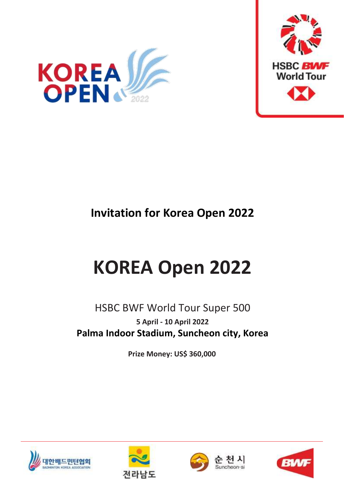



# **Invitation for Korea Open 2022**

# **KOREA Open 2022**

# HSBC BWF World Tour Super 500 **5 April - 10 April 2022 Palma Indoor Stadium, Suncheon city, Korea**

**Prize Money: US\$ 360,000**







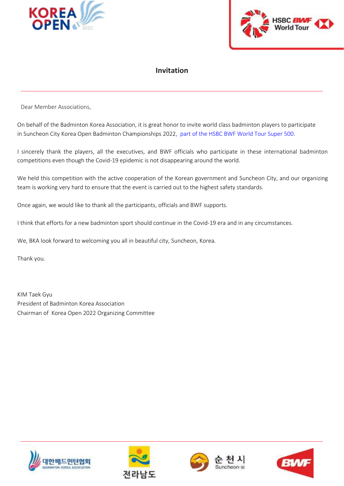



### **Invitation**

Dear Member Associations,

On behalf of the Badminton Korea Association, it is great honor to invite world class badminton players to participate in Suncheon City Korea Open Badminton Championships 2022, part of the HSBC BWF World Tour Super 500.

I sincerely thank the players, all the executives, and BWF officials who participate in these international badminton competitions even though the Covid-19 epidemic is not disappearing around the world.

We held this competition with the active cooperation of the Korean government and Suncheon City, and our organizing team is working very hard to ensure that the event is carried out to the highest safety standards.

Once again, we would like to thank all the participants, officials and BWF supports.

I think that efforts for a new badminton sport should continue in the Covid-19 era and in any circumstances.

We, BKA look forward to welcoming you all in beautiful city, Suncheon, Korea.

Thank you.

KIM Taek Gyu President of Badminton Korea Association Chairman of Korea Open 2022 Organizing Committee







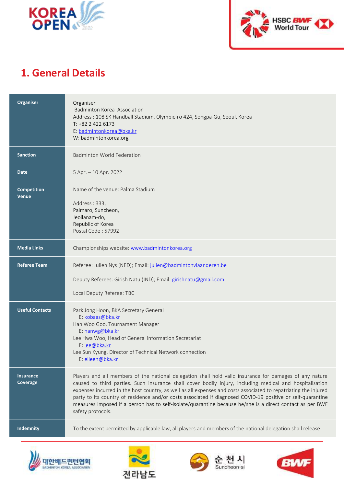



# **1. General Details**

| Organiser                          | Organiser<br>Badminton Korea Association<br>Address: 108 SK Handball Stadium, Olympic-ro 424, Songpa-Gu, Seoul, Korea<br>$T: +8224226173$<br>E: badmintonkorea@bka.kr<br>W: badmintonkorea.org                                                                                                                                                                                                                                                                                                                                                                                          |
|------------------------------------|-----------------------------------------------------------------------------------------------------------------------------------------------------------------------------------------------------------------------------------------------------------------------------------------------------------------------------------------------------------------------------------------------------------------------------------------------------------------------------------------------------------------------------------------------------------------------------------------|
| <b>Sanction</b>                    | <b>Badminton World Federation</b>                                                                                                                                                                                                                                                                                                                                                                                                                                                                                                                                                       |
| <b>Date</b>                        | 5 Apr. - 10 Apr. 2022                                                                                                                                                                                                                                                                                                                                                                                                                                                                                                                                                                   |
| <b>Competition</b><br><b>Venue</b> | Name of the venue: Palma Stadium<br>Address: 333,<br>Palmaro, Suncheon,<br>Jeollanam-do,<br>Republic of Korea<br>Postal Code: 57992                                                                                                                                                                                                                                                                                                                                                                                                                                                     |
| <b>Media Links</b>                 | Championships website: www.badmintonkorea.org                                                                                                                                                                                                                                                                                                                                                                                                                                                                                                                                           |
| <b>Referee Team</b>                | Referee: Julien Nys (NED); Email: julien@badmintonvlaanderen.be<br>Deputy Referees: Girish Natu (IND); Email: girishnatu@gmail.com<br>Local Deputy Referee: TBC                                                                                                                                                                                                                                                                                                                                                                                                                         |
| <b>Useful Contacts</b>             | Park Jong Hoon, BKA Secretary General<br>E: kobaas@bka.kr<br>Han Woo Goo, Tournament Manager<br>E: hanwg@bka.kr<br>Lee Hwa Woo, Head of General information Secretariat<br>E: lee@bka.kr<br>Lee Sun Kyung, Director of Technical Network connection<br>E: eileen@bka.kr                                                                                                                                                                                                                                                                                                                 |
| <b>Insurance</b><br>Coverage       | Players and all members of the national delegation shall hold valid insurance for damages of any nature<br>caused to third parties. Such insurance shall cover bodily injury, including medical and hospitalisation<br>expenses incurred in the host country, as well as all expenses and costs associated to repatriating the injured<br>party to its country of residence and/or costs associated if diagnosed COVID-19 positive or self-quarantine<br>measures imposed if a person has to self-isolate/quarantine because he/she is a direct contact as per BWF<br>safety protocols. |
| Indemnity                          | To the extent permitted by applicable law, all players and members of the national delegation shall release                                                                                                                                                                                                                                                                                                                                                                                                                                                                             |







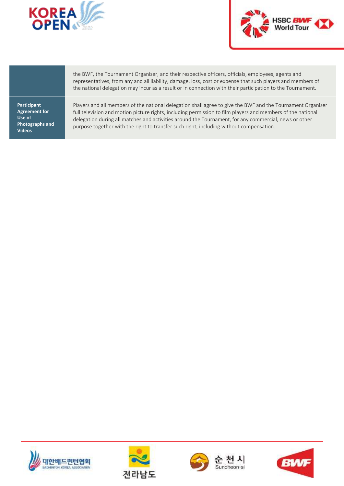



**Participant Agreement for Use of Photographs and Videos**

the BWF, the Tournament Organiser, and their respective officers, officials, employees, agents and representatives, from any and all liability, damage, loss, cost or expense that such players and members of the national delegation may incur as a result or in connection with their participation to the Tournament.

Players and all members of the national delegation shall agree to give the BWF and the Tournament Organiser full television and motion picture rights, including permission to film players and members of the national delegation during all matches and activities around the Tournament, for any commercial, news or other purpose together with the right to transfer such right, including without compensation.







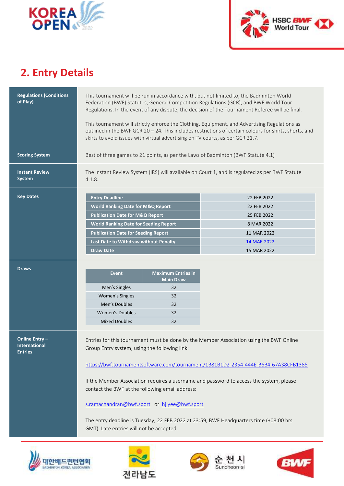



# **2. Entry Details**

| <b>Regulations (Conditions</b><br>of Play)                      | This tournament will be run in accordance with, but not limited to, the Badminton World<br>Federation (BWF) Statutes, General Competition Regulations (GCR), and BWF World Tour<br>Regulations. In the event of any dispute, the decision of the Tournament Referee will be final.        |                           |                                                                                                                                                                                                                                                                                                                                                                    |  |
|-----------------------------------------------------------------|-------------------------------------------------------------------------------------------------------------------------------------------------------------------------------------------------------------------------------------------------------------------------------------------|---------------------------|--------------------------------------------------------------------------------------------------------------------------------------------------------------------------------------------------------------------------------------------------------------------------------------------------------------------------------------------------------------------|--|
|                                                                 | This tournament will strictly enforce the Clothing, Equipment, and Advertising Regulations as<br>outlined in the BWF GCR 20 - 24. This includes restrictions of certain colours for shirts, shorts, and<br>skirts to avoid issues with virtual advertising on TV courts, as per GCR 21.7. |                           |                                                                                                                                                                                                                                                                                                                                                                    |  |
| <b>Scoring System</b>                                           | Best of three games to 21 points, as per the Laws of Badminton (BWF Statute 4.1)                                                                                                                                                                                                          |                           |                                                                                                                                                                                                                                                                                                                                                                    |  |
| <b>Instant Review</b><br><b>System</b>                          | The Instant Review System (IRS) will available on Court 1, and is regulated as per BWF Statute<br>4.1.8.                                                                                                                                                                                  |                           |                                                                                                                                                                                                                                                                                                                                                                    |  |
| <b>Key Dates</b>                                                | <b>Entry Deadline</b>                                                                                                                                                                                                                                                                     |                           | 22 FEB 2022                                                                                                                                                                                                                                                                                                                                                        |  |
|                                                                 | <b>World Ranking Date for M&amp;Q Report</b>                                                                                                                                                                                                                                              |                           | 22 FEB 2022                                                                                                                                                                                                                                                                                                                                                        |  |
|                                                                 | <b>Publication Date for M&amp;Q Report</b>                                                                                                                                                                                                                                                |                           | 25 FEB 2022                                                                                                                                                                                                                                                                                                                                                        |  |
|                                                                 | <b>World Ranking Date for Seeding Report</b>                                                                                                                                                                                                                                              |                           | 8 MAR 2022                                                                                                                                                                                                                                                                                                                                                         |  |
|                                                                 | <b>Publication Date for Seeding Report</b>                                                                                                                                                                                                                                                |                           | 11 MAR 2022                                                                                                                                                                                                                                                                                                                                                        |  |
|                                                                 | Last Date to Withdraw without Penalty                                                                                                                                                                                                                                                     |                           | 14 MAR 2022                                                                                                                                                                                                                                                                                                                                                        |  |
|                                                                 | <b>Draw Date</b>                                                                                                                                                                                                                                                                          |                           | 15 MAR 2022                                                                                                                                                                                                                                                                                                                                                        |  |
|                                                                 |                                                                                                                                                                                                                                                                                           |                           |                                                                                                                                                                                                                                                                                                                                                                    |  |
| <b>Draws</b>                                                    |                                                                                                                                                                                                                                                                                           | <b>Maximum Entries in</b> |                                                                                                                                                                                                                                                                                                                                                                    |  |
|                                                                 | <b>Event</b>                                                                                                                                                                                                                                                                              | <b>Main Draw</b>          |                                                                                                                                                                                                                                                                                                                                                                    |  |
|                                                                 | Men's Singles                                                                                                                                                                                                                                                                             | 32                        |                                                                                                                                                                                                                                                                                                                                                                    |  |
|                                                                 | Women's Singles                                                                                                                                                                                                                                                                           | 32                        |                                                                                                                                                                                                                                                                                                                                                                    |  |
|                                                                 | Men's Doubles                                                                                                                                                                                                                                                                             | 32                        |                                                                                                                                                                                                                                                                                                                                                                    |  |
|                                                                 | <b>Women's Doubles</b>                                                                                                                                                                                                                                                                    | 32                        |                                                                                                                                                                                                                                                                                                                                                                    |  |
|                                                                 | <b>Mixed Doubles</b>                                                                                                                                                                                                                                                                      | 32                        |                                                                                                                                                                                                                                                                                                                                                                    |  |
| <b>Online Entry -</b><br><b>International</b><br><b>Entries</b> | Group Entry system, using the following link:<br>contact the BWF at the following email address:<br>s.ramachandran@bwf.sport or hj.yee@bwf.sport                                                                                                                                          |                           | Entries for this tournament must be done by the Member Association using the BWF Online<br>https://bwf.tournamentsoftware.com/tournament/1B81B1D2-2354-444E-B6B4-67A38CFB1385<br>If the Member Association requires a username and password to access the system, please<br>The entry deadline is Tuesday, 22 FEB 2022 at 23:59, BWF Headquarters time (+08:00 hrs |  |





GMT). Late entries will not be accepted.



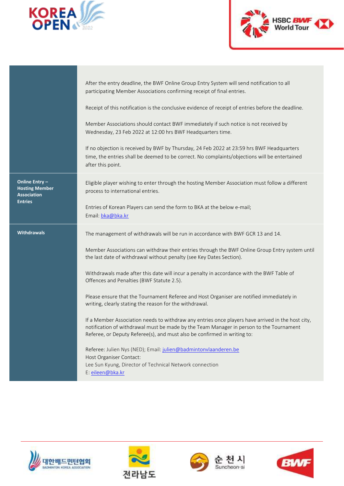



|                                                               | After the entry deadline, the BWF Online Group Entry System will send notification to all<br>participating Member Associations confirming receipt of final entries.                                                                                                      |
|---------------------------------------------------------------|--------------------------------------------------------------------------------------------------------------------------------------------------------------------------------------------------------------------------------------------------------------------------|
|                                                               | Receipt of this notification is the conclusive evidence of receipt of entries before the deadline.                                                                                                                                                                       |
|                                                               | Member Associations should contact BWF immediately if such notice is not received by<br>Wednesday, 23 Feb 2022 at 12:00 hrs BWF Headquarters time.                                                                                                                       |
|                                                               | If no objection is received by BWF by Thursday, 24 Feb 2022 at 23:59 hrs BWF Headquarters<br>time, the entries shall be deemed to be correct. No complaints/objections will be entertained<br>after this point.                                                          |
| Online Entry -<br><b>Hosting Member</b><br><b>Association</b> | Eligible player wishing to enter through the hosting Member Association must follow a different<br>process to international entries.                                                                                                                                     |
| <b>Entries</b>                                                | Entries of Korean Players can send the form to BKA at the below e-mail;<br>Email: bka@bka.kr                                                                                                                                                                             |
|                                                               |                                                                                                                                                                                                                                                                          |
| <b>Withdrawals</b>                                            | The management of withdrawals will be run in accordance with BWF GCR 13 and 14.                                                                                                                                                                                          |
|                                                               | Member Associations can withdraw their entries through the BWF Online Group Entry system until<br>the last date of withdrawal without penalty (see Key Dates Section).                                                                                                   |
|                                                               | Withdrawals made after this date will incur a penalty in accordance with the BWF Table of<br>Offences and Penalties (BWF Statute 2.5).                                                                                                                                   |
|                                                               | Please ensure that the Tournament Referee and Host Organiser are notified immediately in<br>writing, clearly stating the reason for the withdrawal.                                                                                                                      |
|                                                               | If a Member Association needs to withdraw any entries once players have arrived in the host city,<br>notification of withdrawal must be made by the Team Manager in person to the Tournament<br>Referee, or Deputy Referee(s), and must also be confirmed in writing to: |
|                                                               | Referee: Julien Nys (NED); Email: julien@badmintonvlaanderen.be                                                                                                                                                                                                          |
|                                                               | Host Organiser Contact:<br>Lee Sun Kyung, Director of Technical Network connection                                                                                                                                                                                       |







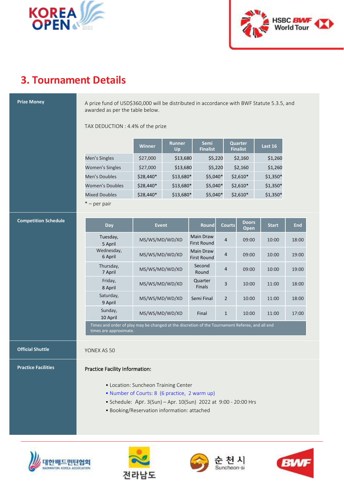



# **3. Tournament Details**

**Prize Money** A prize fund of USD\$360,000 will be distributed in accordance with BWF Statute 5.3.5, and awarded as per the table below.

TAX DEDUCTION : 4.4% of the prize

|                        | <b>Winner</b> | <b>Runner</b><br>Up | <b>Semi</b><br><b>Finalist</b> | Quarter<br><b>Finalist</b> | Last 16   |
|------------------------|---------------|---------------------|--------------------------------|----------------------------|-----------|
| Men's Singles          | \$27,000      | \$13,680            | \$5,220                        | \$2,160                    | \$1,260   |
| <b>Women's Singles</b> | \$27,000      | \$13,680            | \$5,220                        | \$2,160                    | \$1,260   |
| Men's Doubles          | \$28,440*     | \$13,680*           | $$5,040*$                      | $$2,610*$                  | $$1,350*$ |
| <b>Women's Doubles</b> | $$28,440*$    | \$13,680*           | $$5,040*$                      | $$2,610*$                  | $$1,350*$ |
| <b>Mixed Doubles</b>   | \$28,440*     | \$13,680*           | $$5,040*$                      | $$2,610*$                  | $$1,350*$ |
| $* - per pair$         |               |                     |                                |                            |           |

### **Competition Schedule**

| Day                                                                                             | <b>Event</b>   | <b>Round</b>             | <b>Courts</b>  | <b>Doors</b><br>Open | <b>Start</b> | <b>End</b> |
|-------------------------------------------------------------------------------------------------|----------------|--------------------------|----------------|----------------------|--------------|------------|
| Tuesday,<br>5 April                                                                             | MS/WS/MD/WD/XD | Main Draw<br>First Round | $\overline{4}$ | 09:00                | 10:00        | 18:00      |
| Wednesday,<br>6 April                                                                           | MS/WS/MD/WD/XD | Main Draw<br>First Round | $\overline{4}$ | 09:00                | 10:00        | 19:00      |
| Thursday,<br>7 April                                                                            | MS/WS/MD/WD/XD | Second<br>Round          | $\overline{4}$ | 09:00                | 10:00        | 19:00      |
| Friday,<br>8 April                                                                              | MS/WS/MD/WD/XD | Quarter<br><b>Finals</b> | 3              | 10:00                | 11:00        | 18:00      |
| Saturday,<br>9 April                                                                            | MS/WS/MD/WD/XD | Semi Final               | $\mathcal{P}$  | 10:00                | 11:00        | 18:00      |
| Sunday,<br>10 April                                                                             | MS/WS/MD/WD/XD | Final                    | $\mathbf{1}$   | 10:00                | 11:00        | 17:00      |
| Times and order of play may be changed at the discretion of the Tournament Referee, and all end |                |                          |                |                      |              |            |

times are approximate.

### **Official Shuttle YONEX AS 50**

### **Practice Facilities Practice Facility Information:**

- Location: Suncheon Training Center
- Number of Courts: 8 (6 practice, 2 warm up)
- Schedule: Apr. 3(Sun) Apr. 10(Sun) 2022 at 9:00 20:00 Hrs
- Booking/Reservation information: attached







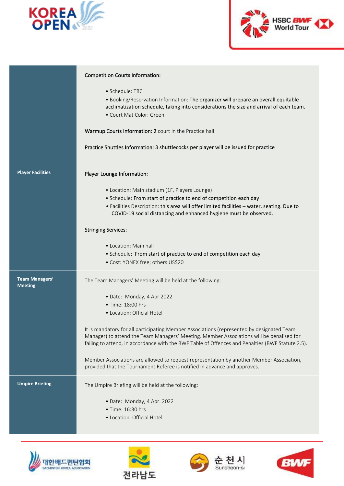



|                                  | <b>Competition Courts Information:</b>                                                                                                                                                                                                                                                    |
|----------------------------------|-------------------------------------------------------------------------------------------------------------------------------------------------------------------------------------------------------------------------------------------------------------------------------------------|
|                                  | $\bullet$ Schedule: TBC<br>. Booking/Reservation Information: The organizer will prepare an overall equitable<br>acclimatization schedule, taking into considerations the size and arrival of each team.<br>• Court Mat Color: Green                                                      |
|                                  | Warmup Courts Information: 2 court in the Practice hall                                                                                                                                                                                                                                   |
|                                  | Practice Shuttles Information: 3 shuttlecocks per player will be issued for practice                                                                                                                                                                                                      |
| <b>Player Facilities</b>         | Player Lounge Information:                                                                                                                                                                                                                                                                |
|                                  | • Location: Main stadium (1F, Players Lounge)                                                                                                                                                                                                                                             |
|                                  | • Schedule: From start of practice to end of competition each day                                                                                                                                                                                                                         |
|                                  | · Facilities Description: this area will offer limited facilities - water, seating. Due to<br>COVID-19 social distancing and enhanced hygiene must be observed.                                                                                                                           |
|                                  | <b>Stringing Services:</b>                                                                                                                                                                                                                                                                |
|                                  | • Location: Main hall                                                                                                                                                                                                                                                                     |
|                                  | • Schedule: From start of practice to end of competition each day<br>• Cost: YONEX free; others US\$20                                                                                                                                                                                    |
| Team Managers'<br><b>Meeting</b> | The Team Managers' Meeting will be held at the following:                                                                                                                                                                                                                                 |
|                                  | • Date: Monday, 4 Apr 2022                                                                                                                                                                                                                                                                |
|                                  | $\bullet$ Time: 18:00 hrs                                                                                                                                                                                                                                                                 |
|                                  | • Location: Official Hotel                                                                                                                                                                                                                                                                |
|                                  | It is mandatory for all participating Member Associations (represented by designated Team<br>Manager) to attend the Team Managers' Meeting. Member Associations will be penalised for<br>failing to attend, in accordance with the BWF Table of Offences and Penalties (BWF Statute 2.5). |
|                                  | Member Associations are allowed to request representation by another Member Association,<br>provided that the Tournament Referee is notified in advance and approves.                                                                                                                     |
| <b>Umpire Briefing</b>           | The Umpire Briefing will be held at the following:                                                                                                                                                                                                                                        |
|                                  | · Date: Monday, 4 Apr. 2022                                                                                                                                                                                                                                                               |
|                                  | • Time: 16:30 hrs                                                                                                                                                                                                                                                                         |
|                                  | • Location: Official Hotel                                                                                                                                                                                                                                                                |
|                                  |                                                                                                                                                                                                                                                                                           |







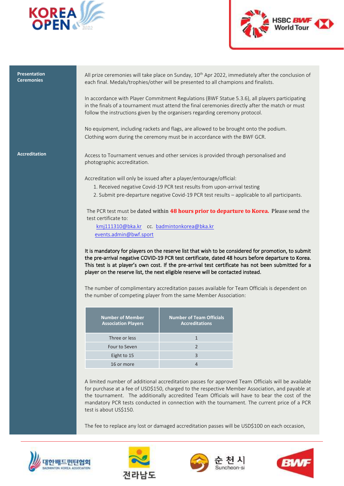



### **Presentation Ceremonies**

All prize ceremonies will take place on Sunday, 10<sup>th</sup> Apr 2022, immediately after the conclusion of each final. Medals/trophies/other will be presented to all champions and finalists.

In accordance with Player Commitment Regulations (BWF Statue 5.3.6), all players participating in the finals of a tournament must attend the final ceremonies directly after the match or must follow the instructions given by the organisers regarding ceremony protocol.

No equipment, including rackets and flags, are allowed to be brought onto the podium. Clothing worn during the ceremony must be in accordance with the BWF GCR.

Accreditation **Access to Tournament venues and other services is provided through personalised and** photographic accreditation.

Accreditation will only be issued after a player/entourage/official:

- 1. Received negative Covid-19 PCR test results from upon-arrival testing
- 2. Submit pre-departure negative Covid-19 PCR test results applicable to all participants.

The PCR test must be dated within **48 hours prior to departure to Korea.** Please send the test certificate to:

[kmj111310@bka.kr](mailto:kmj111310@bka.kr) cc. [badmintonkorea@bka.kr](mailto:badmintonkorea@bka.kr) [events.admin@bwf.sport](mailto:events.admin@bwf.sport)

It is mandatory for players on the reserve list that wish to be considered for promotion, to submit the pre-arrival negative COVID-19 PCR test certificate, dated 48 hours before departure to Korea. This test is at player's own cost. If the pre-arrival test certificate has not been submitted for a player on the reserve list, the next eligible reserve will be contacted instead.

The number of complimentary accreditation passes available for Team Officials is dependent on the number of competing player from the same Member Association:

| <b>Number of Member</b><br><b>Association Players</b> | <b>Number of Team Officials</b><br><b>Accreditations</b> |
|-------------------------------------------------------|----------------------------------------------------------|
| Three or less                                         |                                                          |
| Four to Seven                                         | $\mathcal{P}$                                            |
| Eight to 15                                           | 3                                                        |
| 16 or more                                            |                                                          |

A limited number of additional accreditation passes for approved Team Officials will be available for purchase at a fee of USD\$150, charged to the respective Member Association, and payable at the tournament. The additionally accredited Team Officials will have to bear the cost of the mandatory PCR tests conducted in connection with the tournament. The current price of a PCR test is about US\$150.

The fee to replace any lost or damaged accreditation passes will be USD\$100 on each occasion,







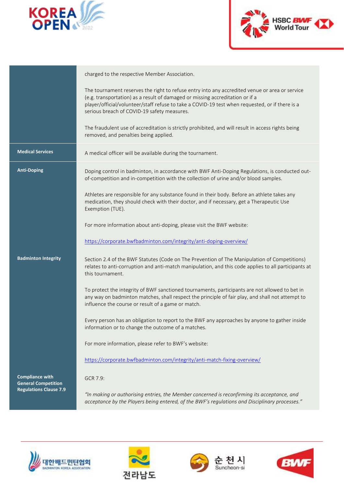



|                                                      | charged to the respective Member Association.                                                                                                                                                                                                                                                                                     |
|------------------------------------------------------|-----------------------------------------------------------------------------------------------------------------------------------------------------------------------------------------------------------------------------------------------------------------------------------------------------------------------------------|
|                                                      | The tournament reserves the right to refuse entry into any accredited venue or area or service<br>(e.g. transportation) as a result of damaged or missing accreditation or if a<br>player/official/volunteer/staff refuse to take a COVID-19 test when requested, or if there is a<br>serious breach of COVID-19 safety measures. |
|                                                      | The fraudulent use of accreditation is strictly prohibited, and will result in access rights being<br>removed, and penalties being applied.                                                                                                                                                                                       |
| <b>Medical Services</b>                              | A medical officer will be available during the tournament.                                                                                                                                                                                                                                                                        |
| <b>Anti-Doping</b>                                   | Doping control in badminton, in accordance with BWF Anti-Doping Regulations, is conducted out-<br>of-competition and in-competition with the collection of urine and/or blood samples.                                                                                                                                            |
|                                                      | Athletes are responsible for any substance found in their body. Before an athlete takes any<br>medication, they should check with their doctor, and if necessary, get a Therapeutic Use<br>Exemption (TUE).                                                                                                                       |
|                                                      | For more information about anti-doping, please visit the BWF website:                                                                                                                                                                                                                                                             |
|                                                      | https://corporate.bwfbadminton.com/integrity/anti-doping-overview/                                                                                                                                                                                                                                                                |
| <b>Badminton Integrity</b>                           | Section 2.4 of the BWF Statutes (Code on The Prevention of The Manipulation of Competitions)<br>relates to anti-corruption and anti-match manipulation, and this code applies to all participants at<br>this tournament.                                                                                                          |
|                                                      | To protect the integrity of BWF sanctioned tournaments, participants are not allowed to bet in<br>any way on badminton matches, shall respect the principle of fair play, and shall not attempt to<br>influence the course or result of a game or match.                                                                          |
|                                                      | Every person has an obligation to report to the BWF any approaches by anyone to gather inside<br>information or to change the outcome of a matches.                                                                                                                                                                               |
|                                                      | For more information, please refer to BWF's website:                                                                                                                                                                                                                                                                              |
|                                                      | https://corporate.bwfbadminton.com/integrity/anti-match-fixing-overview/                                                                                                                                                                                                                                                          |
| <b>Compliance with</b><br><b>General Competition</b> | GCR 7.9:                                                                                                                                                                                                                                                                                                                          |
| <b>Regulations Clause 7.9</b>                        | "In making or authorising entries, the Member concerned is reconfirming its acceptance, and<br>acceptance by the Players being entered, of the BWF's regulations and Disciplinary processes."                                                                                                                                     |







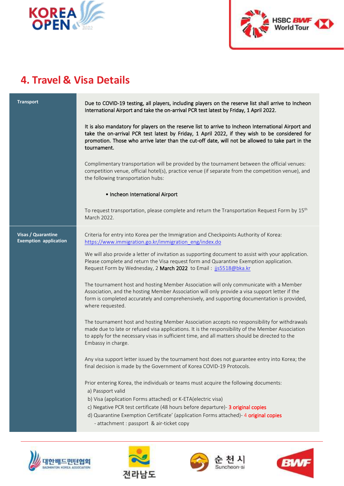



## **4. Travel & Visa Details**

**Transport Due to COVID-19 testing, all players, including players on the reserve list shall arrive to Incheon** International Airport and take the on-arrival PCR test latest by Friday, 1 April 2022.

> It is also mandatory for players on the reserve list to arrive to Incheon International Airport and take the on-arrival PCR test latest by Friday, 1 April 2022, if they wish to be considered for promotion. Those who arrive later than the cut-off date, will not be allowed to take part in the tournament.

> Complimentary transportation will be provided by the tournament between the official venues: competition venue, official hotel(s), practice venue (if separate from the competition venue), and the following transportation hubs:

### • Incheon International Airport

To request transportation, please complete and return the Transportation Request Form by  $15^{\rm th}$ March 2022.

**Visas / Quarantine Exemption application** Criteria for entry into Korea per the Immigration and Checkpoints Authority of Korea: [https://www.immigration.go.kr/immigration\\_eng/index.do](https://www.immigration.go.kr/immigration_eng/index.do)

We will also provide a letter of invitation as supporting document to assist with your application. Please complete and return the Visa request form and Quarantine Exemption application. Request Form by Wednesday, 2 March 2022 to Email: [jjs5518@bka.kr](mailto:jjs5518@bka.kr)

The tournament host and hosting Member Association will only communicate with a Member Association, and the hosting Member Association will only provide a visa support letter if the form is completed accurately and comprehensively, and supporting documentation is provided, where requested.

The tournament host and hosting Member Association accepts no responsibility for withdrawals made due to late or refused visa applications. It is the responsibility of the Member Association to apply for the necessary visas in sufficient time, and all matters should be directed to the Embassy in charge.

Any visa support letter issued by the tournament host does not guarantee entry into Korea; the final decision is made by the Government of Korea COVID-19 Protocols.

Prior entering Korea, the individuals or teams must acquire the following documents:

- a) Passport valid
- b) Visa (application Forms attached) or K-ETA(electric visa)
- c) Negative PCR test certificate (48 hours before departure)- 3 original copies
- d) Quarantine Exemption Certificate' (application Forms attached)- 4 original copies
	- attachment : passport & air-ticket copy







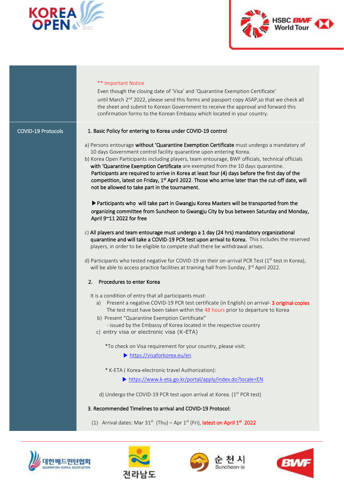



### \*\* Important Notice

Even though the closing date of 'Visa' and 'Quarantine Exemption Certificate' until March 2<sup>nd</sup> 2022, please send this forms and passport copy ASAP, so that we check all the sheet and submit to Korean Government to receive the approval and forward this confirmation forms to the Korean Embassy which located in your country.

### COVID-19 Protocols 1. Basic Policy for entering to Korea under COVID-19 control

- a) Persons entourage without 'Quarantine Exemption Certificate must undergo a mandatory of 10 days Government control facility quarantine upon entering Korea.
- b) Korea Open Participants including players, team entourage, BWF officials, technical officials with 'Quarantine Exemption Certificate are exempted from the 10 days quarantine. Participants are required to arrive in Korea at least four (4) days before the first day of the competition, latest on Friday, 1<sup>st</sup> April 2022. Those who arrive later than the cut-off date, will not be allowed to take part in the tournament.

**▶**Participants who will take part in Gwangju Korea Masters will be transported from the organizing committee from Suncheon to Gwangju City by bus between Saturday and Monday, April 9~11 2022 for free

- c) All players and team entourage must undergo a 1 day (24 hrs) mandatory organizational quarantine and will take a COVID-19 PCR test upon arrival to Korea. This includes the reserved players, in order to be eligible to compete shall there be withdrawal arises.
- d) Participants who tested negative for COVID-19 on their on-arrival PCR Test (1st test in Korea), will be able to access practice facilities at training hall from Sunday, 3<sup>rd</sup> April 2022.

### 2. Procedures to enter Korea

It is a condition of entry that all participants must:

- a) Present a negative COVID-19 PCR test certificate (in English) on arrival- 3 original copies The test must have been taken within the 48 hours prior to departure to Korea
- b) Present "Quarantine Exemption Certificate"
	- issued by the Embassy of Korea located in the respective country
- c) entry visa or electronic visa (K-ETA)

\*To check on Visa requirement for your country, please visit:

- ▶ <https://visaforkorea.eu/en>
- \* K-ETA ( Korea-electronic travel Authorization):
	- ▶ <https://www.k-eta.go.kr/portal/apply/index.do?locale=EN>
- d) Undergo the COVID-19 PCR test upon arrival at Korea. (1<sup>st</sup> PCR test)

### 3. Recommended Timelines to arrival and COVID-19 Protocol:

(1) Arrival dates: Mar 31<sup>st</sup> (Thu) – Apr 1<sup>st</sup> (Fri), latest on April 1<sup>st</sup> 2022







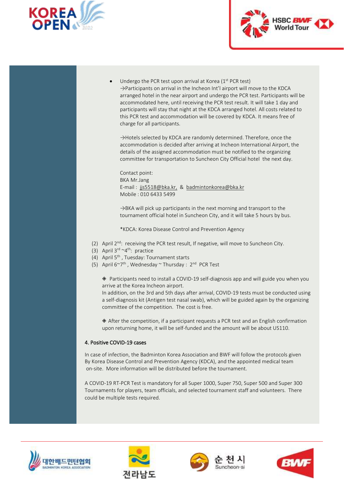



Undergo the PCR test upon arrival at Korea  $(1<sup>st</sup> PCR test)$ →Participants on arrival in the Incheon Int'l airport will move to the KDCA arranged hotel in the near airport and undergo the PCR test. Participants will be accommodated here, until receiving the PCR test result. It will take 1 day and participants will stay that night at the KDCA arranged hotel. All costs related to this PCR test and accommodation will be covered by KDCA. It means free of charge for all participants.

→Hotels selected by KDCA are randomly determined. Therefore, once the accommodation is decided after arriving at Incheon International Airport, the details of the assigned accommodation must be notified to the organizing committee for transportation to Suncheon City Official hotel the next day.

Contact point: BKA Mr.Jang E-mail : [jjs5518@bka.kr,](mailto:jjs5518@bka.kr) & badmintonkorea@bka.kr Mobile : 010 6433 5499

 $\rightarrow$ BKA will pick up participants in the next morning and transport to the tournament official hotel in Suncheon City, and it will take 5 hours by bus.

\*KDCA: Korea Disease Control and Prevention Agency

- (2) April 2<sup>nd</sup>: receiving the PCR test result, If negative, will move to Suncheon City.
- (3) April  $3^{\text{rd}} \sim 4^{\text{th}}$ : practice
- (4) April  $5<sup>th</sup>$ , Tuesday: Tournament starts
- (5) April 6~7<sup>th</sup>, Wednesday ~ Thursday : 2<sup>nd</sup> PCR Test

◈ Participants need to install a COVID-19 self-diagnosis app and will guide you when you arrive at the Korea Incheon airport.

In addition, on the 3rd and 5th days after arrival, COVID-19 tests must be conducted using a self-diagnosis kit (Antigen test nasal swab), which will be guided again by the organizing committee of the competition. The cost is free.

◈ After the competition, if a participant requests a PCR test and an English confirmation upon returning home, it will be self-funded and the amount will be about US110.

### 4. Positive COVID-19 cases

In case of infection, the Badminton Korea Association and BWF will follow the protocols given By Korea Disease Control and Prevention Agency (KDCA), and the appointed medical team on-site. More information will be distributed before the tournament.

A COVID-19 RT-PCR Test is mandatory for all Super 1000, Super 750, Super 500 and Super 300 Tournaments for players, team officials, and selected tournament staff and volunteers. There could be multiple tests required.







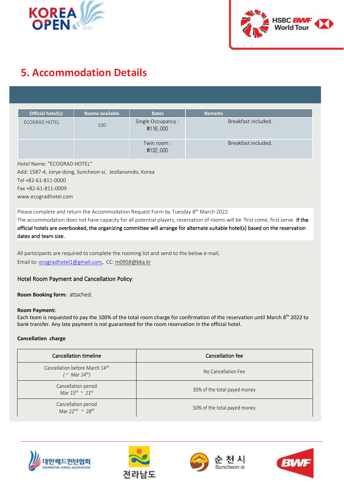



# **5. Accommodation Details**

| Official hotel(s)    | <b>Rooms available</b> | Rates                         | <b>Remarks</b>      |
|----------------------|------------------------|-------------------------------|---------------------|
| <b>ECOGRAD HOTEL</b> | 100                    | Single Occupancy:<br>₩116,000 | Breakfast included. |
|                      |                        | Twin room:<br>₩132,000        | Breakfast included. |

Hotel Name: "ECOGRAD HOTEL" Add: 1587-4, Jorye-dong, Suncheon-si, Jeollanamdo, Korea Tel +82-61-811-0000 Fax +82-61-811-0009 www.ecogradhotel.com

Please complete and return the Accommodation Request Form by Tuesday 8<sup>th</sup> March 2022.

The accommodation does not have capacity for all potential players, reservation of rooms will be 'first come, first serve. If the official hotels are overbooked, the organizing committee will arrange for alternate suitable hotel(s) based on the reservation dates and team size.

All participants are required to complete the rooming list and send to the below e-mail, Email to[: ecogradhotel1@gmail.com](mailto:ecogradhotel1@gmail.com), CC: m0958@bka.kr

### Hotel Room Payment and Cancellation Policy:

**Room Booking form:** attached.

### **Room Payment:**

Each team is requested to pay the 100% of the total room charge for confirmation of the reservation until March 8<sup>th</sup> 2022 to bank transfer. Any late payment is not guaranteed for the room reservation in the official hotel.

### **Cancellation charge**

| Cancellation timeline                                             | Cancellation fee             |
|-------------------------------------------------------------------|------------------------------|
| Cancellation before March 14th<br>( $\sim$ Mar 14 <sup>th</sup> ) | No Cancellation Fee          |
| Cancellation period<br>Mar $15^{th} \sim 21^{st}$                 | 30% of the total payed money |
| Cancellation period<br>Mar $22^{nd} \sim 28^{th}$                 | 50% of the total payed money |







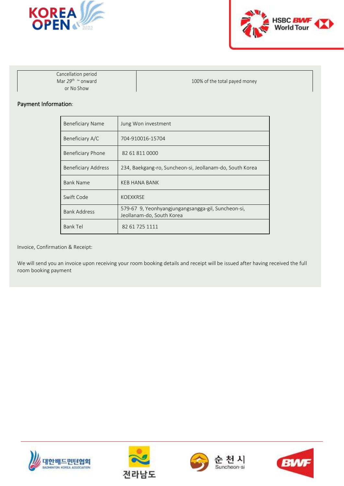



Cancellation period Mar *29 th* ~ onward or No Show

100% of the total payed money

### Payment Information:

| <b>Beneficiary Name</b>    | Jung Won investment                                                             |
|----------------------------|---------------------------------------------------------------------------------|
| Beneficiary A/C            | 704-910016-15704                                                                |
| Beneficiary Phone          | 82 61 811 0000                                                                  |
| <b>Beneficiary Address</b> | 234, Baekgang-ro, Suncheon-si, Jeollanam-do, South Korea                        |
| <b>Bank Name</b>           | <b>KEB HANA BANK</b>                                                            |
| Swift Code                 | <b>KOEXKRSE</b>                                                                 |
| <b>Bank Address</b>        | 579-67 9, Yeonhyangjungangsangga-gil, Suncheon-si,<br>Jeollanam-do, South Korea |
| <b>Bank Tel</b>            | 82 61 725 1111                                                                  |

Invoice, Confirmation & Receipt:

We will send you an invoice upon receiving your room booking details and receipt will be issued after having received the full room booking payment